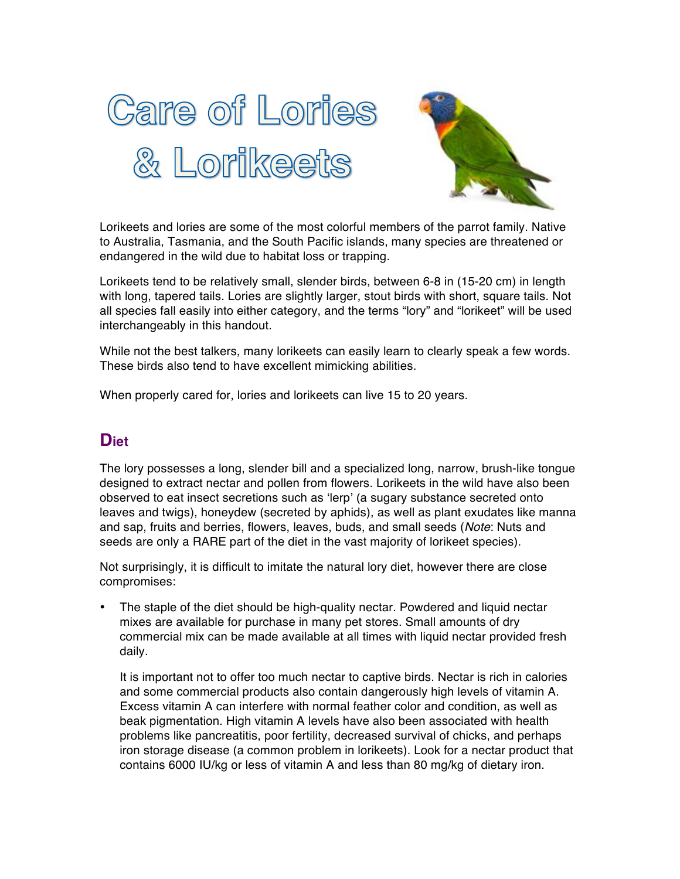



Lorikeets and lories are some of the most colorful members of the parrot family. Native to Australia, Tasmania, and the South Pacific islands, many species are threatened or endangered in the wild due to habitat loss or trapping.

Lorikeets tend to be relatively small, slender birds, between 6-8 in (15-20 cm) in length with long, tapered tails. Lories are slightly larger, stout birds with short, square tails. Not all species fall easily into either category, and the terms "lory" and "lorikeet" will be used interchangeably in this handout.

While not the best talkers, many lorikeets can easily learn to clearly speak a few words. These birds also tend to have excellent mimicking abilities.

When properly cared for, lories and lorikeets can live 15 to 20 years.

## **Diet**

The lory possesses a long, slender bill and a specialized long, narrow, brush-like tongue designed to extract nectar and pollen from flowers. Lorikeets in the wild have also been observed to eat insect secretions such as 'lerp' (a sugary substance secreted onto leaves and twigs), honeydew (secreted by aphids), as well as plant exudates like manna and sap, fruits and berries, flowers, leaves, buds, and small seeds (*Note*: Nuts and seeds are only a RARE part of the diet in the vast majority of lorikeet species).

Not surprisingly, it is difficult to imitate the natural lory diet, however there are close compromises:

The staple of the diet should be high-quality nectar. Powdered and liquid nectar mixes are available for purchase in many pet stores. Small amounts of dry commercial mix can be made available at all times with liquid nectar provided fresh daily.

It is important not to offer too much nectar to captive birds. Nectar is rich in calories and some commercial products also contain dangerously high levels of vitamin A. Excess vitamin A can interfere with normal feather color and condition, as well as beak pigmentation. High vitamin A levels have also been associated with health problems like pancreatitis, poor fertility, decreased survival of chicks, and perhaps iron storage disease (a common problem in lorikeets). Look for a nectar product that contains 6000 IU/kg or less of vitamin A and less than 80 mg/kg of dietary iron.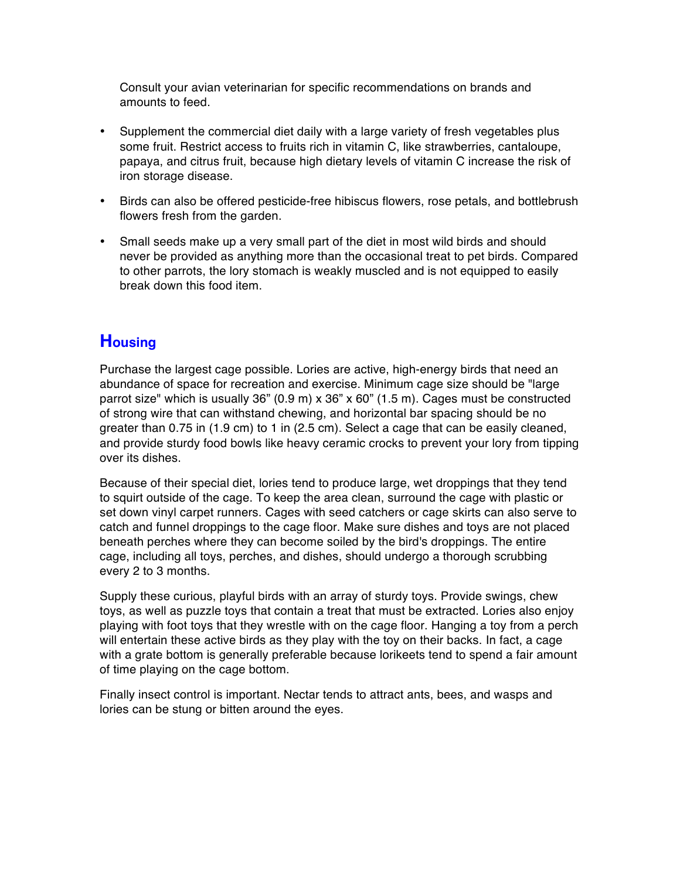Consult your avian veterinarian for specific recommendations on brands and amounts to feed.

- Supplement the commercial diet daily with a large variety of fresh vegetables plus some fruit. Restrict access to fruits rich in vitamin C, like strawberries, cantaloupe, papaya, and citrus fruit, because high dietary levels of vitamin C increase the risk of iron storage disease.
- Birds can also be offered pesticide-free hibiscus flowers, rose petals, and bottlebrush flowers fresh from the garden.
- Small seeds make up a very small part of the diet in most wild birds and should never be provided as anything more than the occasional treat to pet birds. Compared to other parrots, the lory stomach is weakly muscled and is not equipped to easily break down this food item.

# **Housing**

Purchase the largest cage possible. Lories are active, high-energy birds that need an abundance of space for recreation and exercise. Minimum cage size should be "large parrot size" which is usually 36" (0.9 m) x 36" x 60" (1.5 m). Cages must be constructed of strong wire that can withstand chewing, and horizontal bar spacing should be no greater than 0.75 in (1.9 cm) to 1 in (2.5 cm). Select a cage that can be easily cleaned, and provide sturdy food bowls like heavy ceramic crocks to prevent your lory from tipping over its dishes.

Because of their special diet, lories tend to produce large, wet droppings that they tend to squirt outside of the cage. To keep the area clean, surround the cage with plastic or set down vinyl carpet runners. Cages with seed catchers or cage skirts can also serve to catch and funnel droppings to the cage floor. Make sure dishes and toys are not placed beneath perches where they can become soiled by the bird's droppings. The entire cage, including all toys, perches, and dishes, should undergo a thorough scrubbing every 2 to 3 months.

Supply these curious, playful birds with an array of sturdy toys. Provide swings, chew toys, as well as puzzle toys that contain a treat that must be extracted. Lories also enjoy playing with foot toys that they wrestle with on the cage floor. Hanging a toy from a perch will entertain these active birds as they play with the toy on their backs. In fact, a cage with a grate bottom is generally preferable because lorikeets tend to spend a fair amount of time playing on the cage bottom.

Finally insect control is important. Nectar tends to attract ants, bees, and wasps and lories can be stung or bitten around the eyes.